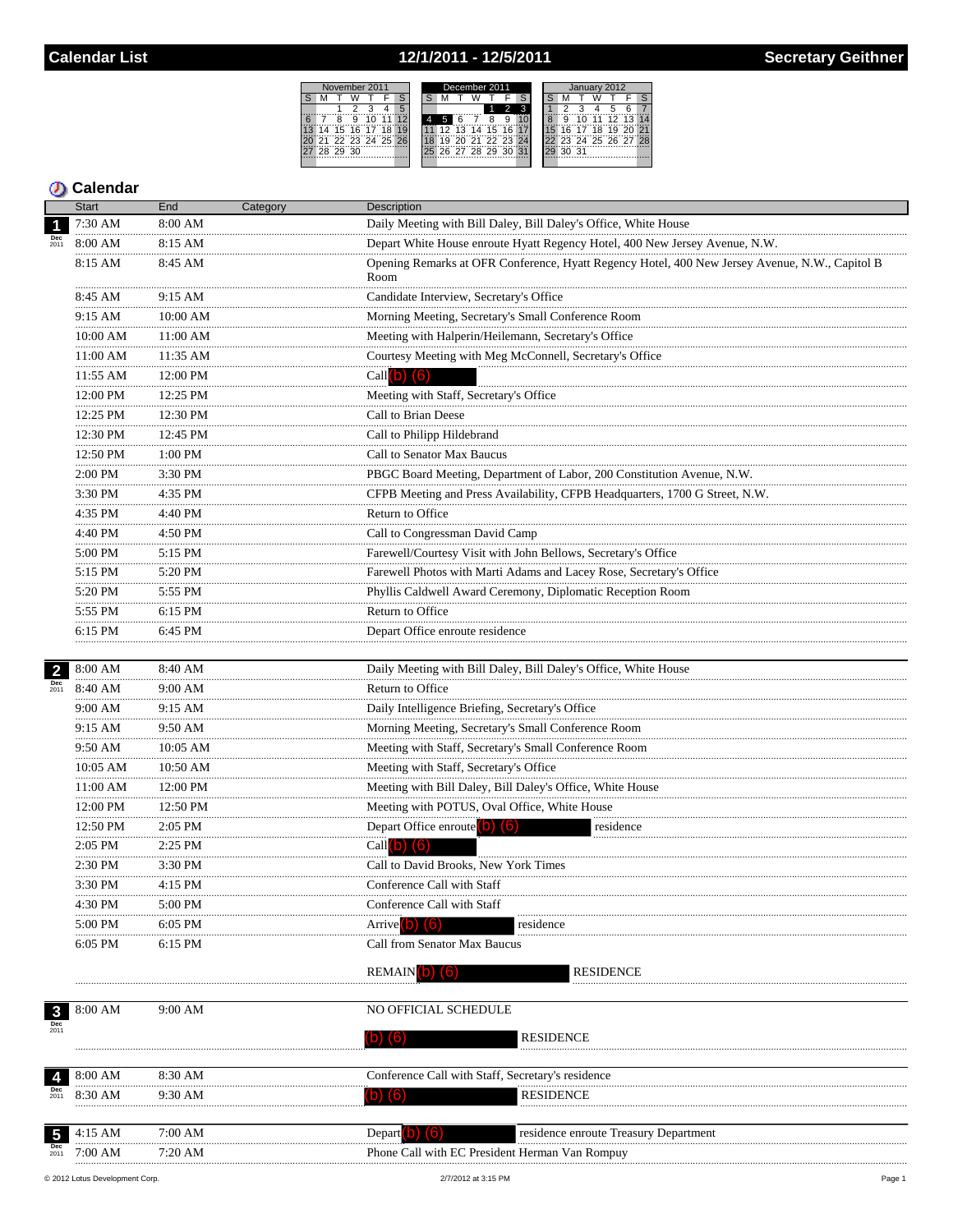## 12/1/2011 - 12/5/2011



## **D** Calendar

|                               | Start         | End           | Category | <b>Description</b><br>Daily Meeting with Bill Daley, Bill Daley's Office, White House<br>Depart White House enroute Hyatt Regency Hotel, 400 New Jersey Avenue, N.W.<br>Opening Remarks at OFR Conference, Hyatt Regency Hotel, 400 New Jersey Avenue, N.W., Capitol B<br>Room<br>Candidate Interview, Secretary's Office<br>Morning Meeting, Secretary's Small Conference Room<br>Meeting with Halperin/Heilemann, Secretary's Office<br>Courtesy Meeting with Meg McConnell, Secretary's Office<br>Call $(b)$ $(6)$<br>Meeting with Staff, Secretary's Office<br>Call to Brian Deese<br>Call to Philipp Hildebrand<br>Call to Senator Max Baucus<br>PBGC Board Meeting, Department of Labor, 200 Constitution Avenue, N.W.<br>CFPB Meeting and Press Availability, CFPB Headquarters, 1700 G Street, N.W.<br>Return to Office |  |  |  |
|-------------------------------|---------------|---------------|----------|---------------------------------------------------------------------------------------------------------------------------------------------------------------------------------------------------------------------------------------------------------------------------------------------------------------------------------------------------------------------------------------------------------------------------------------------------------------------------------------------------------------------------------------------------------------------------------------------------------------------------------------------------------------------------------------------------------------------------------------------------------------------------------------------------------------------------------|--|--|--|
| $\overline{\mathbf{1}}$       | 7:30 AM       | 8:00 AM       |          |                                                                                                                                                                                                                                                                                                                                                                                                                                                                                                                                                                                                                                                                                                                                                                                                                                 |  |  |  |
|                               | 8:00 AM       | 8:15 AM       |          |                                                                                                                                                                                                                                                                                                                                                                                                                                                                                                                                                                                                                                                                                                                                                                                                                                 |  |  |  |
|                               | 8:15 AM       | 8:45 AM       |          |                                                                                                                                                                                                                                                                                                                                                                                                                                                                                                                                                                                                                                                                                                                                                                                                                                 |  |  |  |
|                               | 8:45 AM       | 9:15 AM       |          |                                                                                                                                                                                                                                                                                                                                                                                                                                                                                                                                                                                                                                                                                                                                                                                                                                 |  |  |  |
|                               | .<br>9:15 AM  | 10:00 AM      |          |                                                                                                                                                                                                                                                                                                                                                                                                                                                                                                                                                                                                                                                                                                                                                                                                                                 |  |  |  |
|                               | .<br>10:00 AM | $11:00$ AM    |          |                                                                                                                                                                                                                                                                                                                                                                                                                                                                                                                                                                                                                                                                                                                                                                                                                                 |  |  |  |
|                               | 11:00 AM      | .<br>11:35 AM |          |                                                                                                                                                                                                                                                                                                                                                                                                                                                                                                                                                                                                                                                                                                                                                                                                                                 |  |  |  |
|                               | 11:55 AM      | 12:00 PM      |          |                                                                                                                                                                                                                                                                                                                                                                                                                                                                                                                                                                                                                                                                                                                                                                                                                                 |  |  |  |
|                               | 12:00 PM      | 12:25 PM      |          |                                                                                                                                                                                                                                                                                                                                                                                                                                                                                                                                                                                                                                                                                                                                                                                                                                 |  |  |  |
|                               | 12:25 PM      | 12:30 PM      |          |                                                                                                                                                                                                                                                                                                                                                                                                                                                                                                                                                                                                                                                                                                                                                                                                                                 |  |  |  |
|                               | 12:30 PM      | 12:45 PM      |          |                                                                                                                                                                                                                                                                                                                                                                                                                                                                                                                                                                                                                                                                                                                                                                                                                                 |  |  |  |
|                               | .<br>12:50 PM | 1:00 PM       |          |                                                                                                                                                                                                                                                                                                                                                                                                                                                                                                                                                                                                                                                                                                                                                                                                                                 |  |  |  |
|                               | .<br>2:00 PM  | .<br>3:30 PM  |          |                                                                                                                                                                                                                                                                                                                                                                                                                                                                                                                                                                                                                                                                                                                                                                                                                                 |  |  |  |
|                               | .<br>3:30 PM  | 4:35 PM       |          |                                                                                                                                                                                                                                                                                                                                                                                                                                                                                                                                                                                                                                                                                                                                                                                                                                 |  |  |  |
|                               | .<br>4:35 PM  | 4:40 PM       |          |                                                                                                                                                                                                                                                                                                                                                                                                                                                                                                                                                                                                                                                                                                                                                                                                                                 |  |  |  |
|                               | .<br>4:40 PM  | $4:50$ PM     |          |                                                                                                                                                                                                                                                                                                                                                                                                                                                                                                                                                                                                                                                                                                                                                                                                                                 |  |  |  |
|                               | .<br>5:00 PM  | .<br>5:15 PM  |          |                                                                                                                                                                                                                                                                                                                                                                                                                                                                                                                                                                                                                                                                                                                                                                                                                                 |  |  |  |
|                               | .<br>5:15 PM  | 5:20 PM       |          |                                                                                                                                                                                                                                                                                                                                                                                                                                                                                                                                                                                                                                                                                                                                                                                                                                 |  |  |  |
|                               | 5:20 PM       | 5:55 PM       |          |                                                                                                                                                                                                                                                                                                                                                                                                                                                                                                                                                                                                                                                                                                                                                                                                                                 |  |  |  |
|                               | 5:55 PM       | 6:15 PM       |          | Return to Office                                                                                                                                                                                                                                                                                                                                                                                                                                                                                                                                                                                                                                                                                                                                                                                                                |  |  |  |
|                               | 6:15 PM       | 6:45 PM       |          | Depart Office enroute residence                                                                                                                                                                                                                                                                                                                                                                                                                                                                                                                                                                                                                                                                                                                                                                                                 |  |  |  |
|                               |               |               |          |                                                                                                                                                                                                                                                                                                                                                                                                                                                                                                                                                                                                                                                                                                                                                                                                                                 |  |  |  |
|                               | 8:00 AM       | 8:40 AM       |          |                                                                                                                                                                                                                                                                                                                                                                                                                                                                                                                                                                                                                                                                                                                                                                                                                                 |  |  |  |
|                               | 8:40 AM       | 9:00 AM<br>.  |          |                                                                                                                                                                                                                                                                                                                                                                                                                                                                                                                                                                                                                                                                                                                                                                                                                                 |  |  |  |
|                               | 9:00 AM<br>.  | 9:15 AM<br>.  |          |                                                                                                                                                                                                                                                                                                                                                                                                                                                                                                                                                                                                                                                                                                                                                                                                                                 |  |  |  |
|                               | 9:15 AM<br>.  | 9:50 AM<br>.  |          |                                                                                                                                                                                                                                                                                                                                                                                                                                                                                                                                                                                                                                                                                                                                                                                                                                 |  |  |  |
|                               | 9:50 AM       | 10:05 AM      |          |                                                                                                                                                                                                                                                                                                                                                                                                                                                                                                                                                                                                                                                                                                                                                                                                                                 |  |  |  |
|                               | 10:05 AM      | 10:50 AM      |          |                                                                                                                                                                                                                                                                                                                                                                                                                                                                                                                                                                                                                                                                                                                                                                                                                                 |  |  |  |
|                               | 11:00 AM      | 12:00 PM      |          |                                                                                                                                                                                                                                                                                                                                                                                                                                                                                                                                                                                                                                                                                                                                                                                                                                 |  |  |  |
|                               | 12:00 PM<br>. | 12:50 PM      |          |                                                                                                                                                                                                                                                                                                                                                                                                                                                                                                                                                                                                                                                                                                                                                                                                                                 |  |  |  |
|                               | 12:50 PM      | 2:05 PM       |          | residence                                                                                                                                                                                                                                                                                                                                                                                                                                                                                                                                                                                                                                                                                                                                                                                                                       |  |  |  |
|                               | 2:05 PM       | 2:25 PM       |          |                                                                                                                                                                                                                                                                                                                                                                                                                                                                                                                                                                                                                                                                                                                                                                                                                                 |  |  |  |
|                               | 2:30 PM       | 3:30 PM       |          | Call to David Brooks, New York Times                                                                                                                                                                                                                                                                                                                                                                                                                                                                                                                                                                                                                                                                                                                                                                                            |  |  |  |
|                               | 3:30 PM       | 4:15 PM       |          | Conference Call with Staff                                                                                                                                                                                                                                                                                                                                                                                                                                                                                                                                                                                                                                                                                                                                                                                                      |  |  |  |
| $\overline{2}$<br>Dec<br>2011 | 4:30 PM       | 5:00 PM       |          | Conference Call with Staff                                                                                                                                                                                                                                                                                                                                                                                                                                                                                                                                                                                                                                                                                                                                                                                                      |  |  |  |
|                               | 5:00 PM       | 6:05 PM       |          | Arrive <sup>1</sup><br>residence                                                                                                                                                                                                                                                                                                                                                                                                                                                                                                                                                                                                                                                                                                                                                                                                |  |  |  |
|                               | 6:05 PM       | 6:15 PM       |          | Call from Senator Max Baucus                                                                                                                                                                                                                                                                                                                                                                                                                                                                                                                                                                                                                                                                                                                                                                                                    |  |  |  |
|                               |               |               |          | RESIDENCE<br><b>REMAIN</b>                                                                                                                                                                                                                                                                                                                                                                                                                                                                                                                                                                                                                                                                                                                                                                                                      |  |  |  |
| $\mathbf{3}$                  | 8:00 AM       | 9:00 AM       |          | NO OFFICIAL SCHEDULE                                                                                                                                                                                                                                                                                                                                                                                                                                                                                                                                                                                                                                                                                                                                                                                                            |  |  |  |
| Dec<br>2011                   |               |               |          | <b>RESIDENCE</b><br>D) (6)                                                                                                                                                                                                                                                                                                                                                                                                                                                                                                                                                                                                                                                                                                                                                                                                      |  |  |  |
|                               |               |               |          |                                                                                                                                                                                                                                                                                                                                                                                                                                                                                                                                                                                                                                                                                                                                                                                                                                 |  |  |  |
| $\overline{4}$                | 8:00 AM       | 8:30 AM       |          | Conference Call with Staff, Secretary's residence                                                                                                                                                                                                                                                                                                                                                                                                                                                                                                                                                                                                                                                                                                                                                                               |  |  |  |
| Dec<br>2011                   | 8:30 AM       | 9:30 AM       |          | (b) (6)<br>RESIDENCE                                                                                                                                                                                                                                                                                                                                                                                                                                                                                                                                                                                                                                                                                                                                                                                                            |  |  |  |
|                               |               |               |          | Call to Congressman David Camp<br>Farewell/Courtesy Visit with John Bellows, Secretary's Office<br>Farewell Photos with Marti Adams and Lacey Rose, Secretary's Office<br>Phyllis Caldwell Award Ceremony, Diplomatic Reception Room<br>Daily Meeting with Bill Daley, Bill Daley's Office, White House<br>Return to Office<br>Daily Intelligence Briefing, Secretary's Office<br>Morning Meeting, Secretary's Small Conference Room<br>Meeting with Staff, Secretary's Small Conference Room<br>Meeting with Staff, Secretary's Office<br>Meeting with Bill Daley, Bill Daley's Office, White House<br>Meeting with POTUS, Oval Office, White House<br>Depart Office enroute (b) (6)<br>Call $(b)$ $(6)$<br>residence enroute Treasury Department                                                                              |  |  |  |
| $\overline{\mathbf{5}}$       | 4:15 AM       | 7:00 AM       |          | Depart $\left( 6 \right)$ $\left( 6 \right)$                                                                                                                                                                                                                                                                                                                                                                                                                                                                                                                                                                                                                                                                                                                                                                                    |  |  |  |
| 2011                          | 7:00 AM       | 7:20 AM       |          | Phone Call with EC President Herman Van Rompuy                                                                                                                                                                                                                                                                                                                                                                                                                                                                                                                                                                                                                                                                                                                                                                                  |  |  |  |

Phone Call with EC President Herman Van Rompuy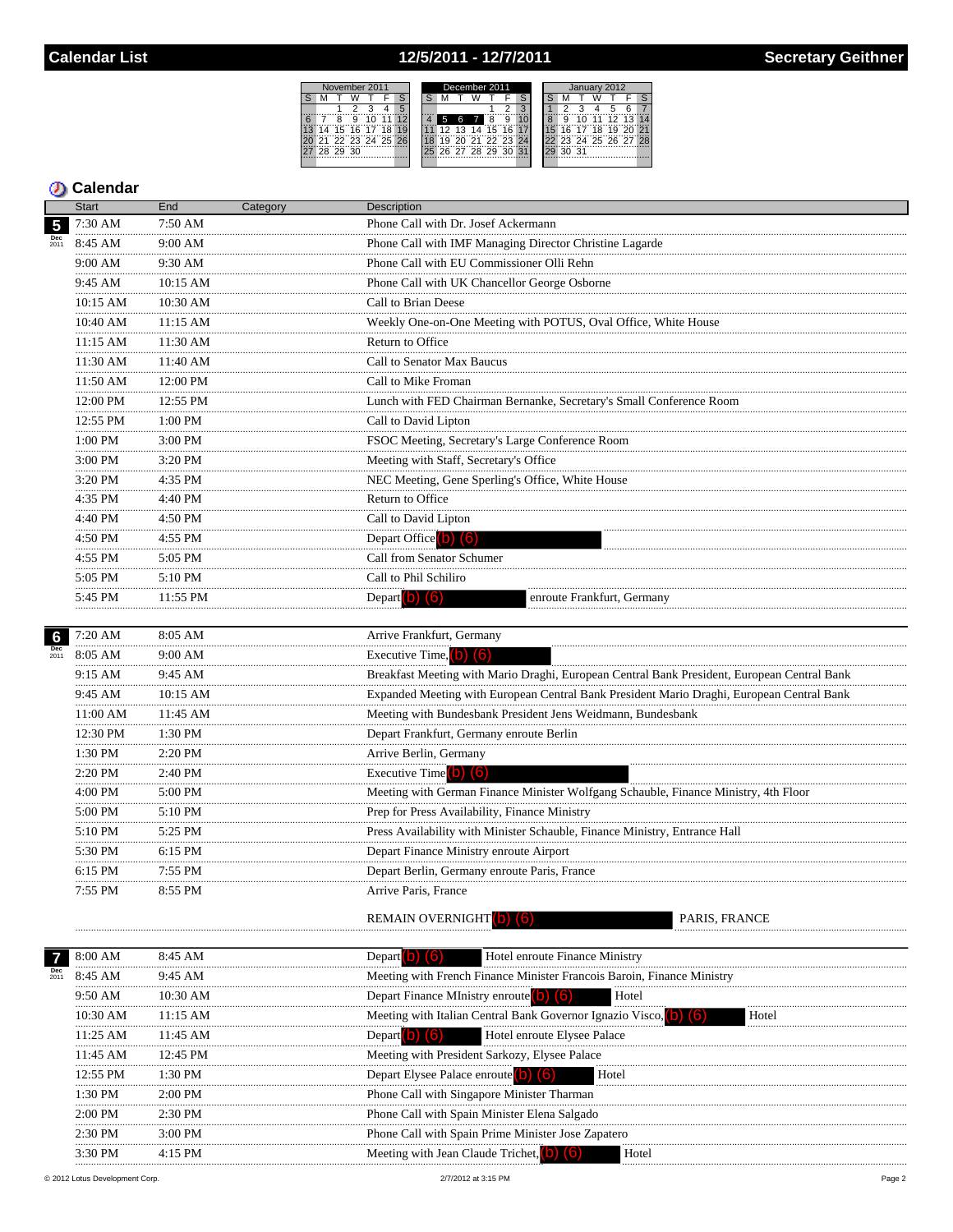## 12/5/2011 - 12/7/2011



#### **D** Calendar

|                                                                                                                                                                                                                                                                                                                                                                                                                                                                                                                                                                                                                                                                                                                                                                                                                                                                                                                                                                                                                                                                                                                                                                                                                                                                                                                                                                                                                                                                                                                                                                                                                 | <b>Start</b> | End                                                            | Category                                           | Description                                                                                 |
|-----------------------------------------------------------------------------------------------------------------------------------------------------------------------------------------------------------------------------------------------------------------------------------------------------------------------------------------------------------------------------------------------------------------------------------------------------------------------------------------------------------------------------------------------------------------------------------------------------------------------------------------------------------------------------------------------------------------------------------------------------------------------------------------------------------------------------------------------------------------------------------------------------------------------------------------------------------------------------------------------------------------------------------------------------------------------------------------------------------------------------------------------------------------------------------------------------------------------------------------------------------------------------------------------------------------------------------------------------------------------------------------------------------------------------------------------------------------------------------------------------------------------------------------------------------------------------------------------------------------|--------------|----------------------------------------------------------------|----------------------------------------------------|---------------------------------------------------------------------------------------------|
| $5\phantom{.0}$                                                                                                                                                                                                                                                                                                                                                                                                                                                                                                                                                                                                                                                                                                                                                                                                                                                                                                                                                                                                                                                                                                                                                                                                                                                                                                                                                                                                                                                                                                                                                                                                 | 7:30 AM      | 7:50 AM                                                        |                                                    | Phone Call with Dr. Josef Ackermann                                                         |
|                                                                                                                                                                                                                                                                                                                                                                                                                                                                                                                                                                                                                                                                                                                                                                                                                                                                                                                                                                                                                                                                                                                                                                                                                                                                                                                                                                                                                                                                                                                                                                                                                 | 8:45 AM      | 9:00 AM                                                        |                                                    | Phone Call with IMF Managing Director Christine Lagarde                                     |
| 6<br>Dec<br>2011<br>7                                                                                                                                                                                                                                                                                                                                                                                                                                                                                                                                                                                                                                                                                                                                                                                                                                                                                                                                                                                                                                                                                                                                                                                                                                                                                                                                                                                                                                                                                                                                                                                           | 9:00 AM      | 9:30 AM                                                        |                                                    | Phone Call with EU Commissioner Olli Rehn                                                   |
|                                                                                                                                                                                                                                                                                                                                                                                                                                                                                                                                                                                                                                                                                                                                                                                                                                                                                                                                                                                                                                                                                                                                                                                                                                                                                                                                                                                                                                                                                                                                                                                                                 | 9:45 AM      | 10:15 AM                                                       |                                                    | Phone Call with UK Chancellor George Osborne                                                |
|                                                                                                                                                                                                                                                                                                                                                                                                                                                                                                                                                                                                                                                                                                                                                                                                                                                                                                                                                                                                                                                                                                                                                                                                                                                                                                                                                                                                                                                                                                                                                                                                                 | 10:15 AM     | 10:30 AM                                                       |                                                    | Call to Brian Deese                                                                         |
|                                                                                                                                                                                                                                                                                                                                                                                                                                                                                                                                                                                                                                                                                                                                                                                                                                                                                                                                                                                                                                                                                                                                                                                                                                                                                                                                                                                                                                                                                                                                                                                                                 | 10:40 AM     | Weekly One-on-One Meeting with POTUS, Oval Office, White House |                                                    |                                                                                             |
|                                                                                                                                                                                                                                                                                                                                                                                                                                                                                                                                                                                                                                                                                                                                                                                                                                                                                                                                                                                                                                                                                                                                                                                                                                                                                                                                                                                                                                                                                                                                                                                                                 | $11:15$ AM   |                                                                |                                                    | Return to Office                                                                            |
|                                                                                                                                                                                                                                                                                                                                                                                                                                                                                                                                                                                                                                                                                                                                                                                                                                                                                                                                                                                                                                                                                                                                                                                                                                                                                                                                                                                                                                                                                                                                                                                                                 | 11:30 AM     | 11:40 AM                                                       |                                                    | Call to Senator Max Baucus                                                                  |
|                                                                                                                                                                                                                                                                                                                                                                                                                                                                                                                                                                                                                                                                                                                                                                                                                                                                                                                                                                                                                                                                                                                                                                                                                                                                                                                                                                                                                                                                                                                                                                                                                 | 11:50 AM     | 12:00 PM                                                       |                                                    | Call to Mike Froman                                                                         |
|                                                                                                                                                                                                                                                                                                                                                                                                                                                                                                                                                                                                                                                                                                                                                                                                                                                                                                                                                                                                                                                                                                                                                                                                                                                                                                                                                                                                                                                                                                                                                                                                                 | 12:00 PM     | 12:55 PM                                                       |                                                    |                                                                                             |
|                                                                                                                                                                                                                                                                                                                                                                                                                                                                                                                                                                                                                                                                                                                                                                                                                                                                                                                                                                                                                                                                                                                                                                                                                                                                                                                                                                                                                                                                                                                                                                                                                 | 12:55 PM     | 1:00 PM                                                        |                                                    | Call to David Lipton                                                                        |
|                                                                                                                                                                                                                                                                                                                                                                                                                                                                                                                                                                                                                                                                                                                                                                                                                                                                                                                                                                                                                                                                                                                                                                                                                                                                                                                                                                                                                                                                                                                                                                                                                 | 1:00 PM      | 3:00 PM                                                        |                                                    | FSOC Meeting, Secretary's Large Conference Room                                             |
|                                                                                                                                                                                                                                                                                                                                                                                                                                                                                                                                                                                                                                                                                                                                                                                                                                                                                                                                                                                                                                                                                                                                                                                                                                                                                                                                                                                                                                                                                                                                                                                                                 | 3:00 PM      | 3:20 PM                                                        |                                                    | Meeting with Staff, Secretary's Office                                                      |
|                                                                                                                                                                                                                                                                                                                                                                                                                                                                                                                                                                                                                                                                                                                                                                                                                                                                                                                                                                                                                                                                                                                                                                                                                                                                                                                                                                                                                                                                                                                                                                                                                 | 3:20 PM      | 4:35 PM                                                        |                                                    | NEC Meeting, Gene Sperling's Office, White House                                            |
|                                                                                                                                                                                                                                                                                                                                                                                                                                                                                                                                                                                                                                                                                                                                                                                                                                                                                                                                                                                                                                                                                                                                                                                                                                                                                                                                                                                                                                                                                                                                                                                                                 | 4:35 PM      | 4:40 PM                                                        |                                                    | Return to Office                                                                            |
|                                                                                                                                                                                                                                                                                                                                                                                                                                                                                                                                                                                                                                                                                                                                                                                                                                                                                                                                                                                                                                                                                                                                                                                                                                                                                                                                                                                                                                                                                                                                                                                                                 | 4:40 PM      | 4:50 PM                                                        |                                                    | Call to David Lipton                                                                        |
|                                                                                                                                                                                                                                                                                                                                                                                                                                                                                                                                                                                                                                                                                                                                                                                                                                                                                                                                                                                                                                                                                                                                                                                                                                                                                                                                                                                                                                                                                                                                                                                                                 | 4:50 PM      | 4:55 PM                                                        |                                                    |                                                                                             |
|                                                                                                                                                                                                                                                                                                                                                                                                                                                                                                                                                                                                                                                                                                                                                                                                                                                                                                                                                                                                                                                                                                                                                                                                                                                                                                                                                                                                                                                                                                                                                                                                                 | 4:55 PM      | 5:05 PM                                                        | Call from Senator Schumer<br>Call to Phil Schiliro |                                                                                             |
|                                                                                                                                                                                                                                                                                                                                                                                                                                                                                                                                                                                                                                                                                                                                                                                                                                                                                                                                                                                                                                                                                                                                                                                                                                                                                                                                                                                                                                                                                                                                                                                                                 | 5:05 PM      | 5:10 PM                                                        |                                                    |                                                                                             |
|                                                                                                                                                                                                                                                                                                                                                                                                                                                                                                                                                                                                                                                                                                                                                                                                                                                                                                                                                                                                                                                                                                                                                                                                                                                                                                                                                                                                                                                                                                                                                                                                                 | 5:45 PM      | 11:55 PM                                                       |                                                    | Depart (b) $(6)$<br>enroute Frankfurt, Germany                                              |
|                                                                                                                                                                                                                                                                                                                                                                                                                                                                                                                                                                                                                                                                                                                                                                                                                                                                                                                                                                                                                                                                                                                                                                                                                                                                                                                                                                                                                                                                                                                                                                                                                 |              |                                                                |                                                    |                                                                                             |
|                                                                                                                                                                                                                                                                                                                                                                                                                                                                                                                                                                                                                                                                                                                                                                                                                                                                                                                                                                                                                                                                                                                                                                                                                                                                                                                                                                                                                                                                                                                                                                                                                 | $7:20$ AM    | 8:05 AM                                                        |                                                    | Arrive Frankfurt, Germany                                                                   |
| .<br>11:15 AM<br>.<br>$11:30$ AM<br>.<br>.<br>.<br>Lunch with FED Chairman Bernanke, Secretary's Small Conference Room<br>.<br>.<br>.<br>.<br>.<br>.<br>Depart Office (b) (6)<br>.<br>.<br>.<br>Executive Time, $(b)$ $(6)$<br>8:05 AM<br>9:00 AM<br>9:45 AM<br>9:15 AM<br>9:45 AM<br>$10:15$ AM<br>Meeting with Bundesbank President Jens Weidmann, Bundesbank<br>11:00 AM<br>11:45 AM<br>.<br>1:30 PM<br>12:30 PM<br>Depart Frankfurt, Germany enroute Berlin<br>.<br>.<br>1:30 PM<br>2:20 PM<br>Arrive Berlin, Germany<br>.<br>2:40 PM<br>2:20 PM<br>Executive Time (b) (6)<br>.<br>4:00 PM<br>5:00 PM<br>.<br>5:00 PM<br>5:10 PM<br>Prep for Press Availability, Finance Ministry<br>5:10 PM<br>5:25 PM<br>5:30 PM<br>6:15 PM<br>Depart Finance Ministry enroute Airport<br>6:15 PM<br>Depart Berlin, Germany enroute Paris, France<br>7:55 PM<br>7:55 PM<br>8:55 PM<br>Arrive Paris, France<br>REMAIN OVERNIGHT<br>Hotel enroute Finance Ministry<br>8:00 AM<br>8:45 AM<br>Depart<br>8:45 AM<br>9:45 AM<br>Depart Finance MInistry enroute<br>Hotel<br>9:50 AM<br>10:30 AM<br>10:30 AM<br>Meeting with Italian Central Bank Governor Ignazio Visco.<br>11:15 AM<br>Hotel enroute Elysee Palace<br>11:25 AM<br>11:45 AM<br>Depart <b>O</b><br>11:45 AM<br>Meeting with President Sarkozy, Elysee Palace<br>12:45 PM<br>12:55 PM<br>Depart Elysee Palace enroute<br>1:30 PM<br>Hotel<br>1:30 PM<br>Phone Call with Singapore Minister Tharman<br>2:00 PM<br>2:00 PM<br>Phone Call with Spain Minister Elena Salgado<br>2:30 PM<br>2:30 PM<br>Phone Call with Spain Prime Minister Jose Zapatero<br>$3:00$ PM |              |                                                                |                                                    |                                                                                             |
|                                                                                                                                                                                                                                                                                                                                                                                                                                                                                                                                                                                                                                                                                                                                                                                                                                                                                                                                                                                                                                                                                                                                                                                                                                                                                                                                                                                                                                                                                                                                                                                                                 |              |                                                                |                                                    | Breakfast Meeting with Mario Draghi, European Central Bank President, European Central Bank |
|                                                                                                                                                                                                                                                                                                                                                                                                                                                                                                                                                                                                                                                                                                                                                                                                                                                                                                                                                                                                                                                                                                                                                                                                                                                                                                                                                                                                                                                                                                                                                                                                                 |              |                                                                |                                                    | Expanded Meeting with European Central Bank President Mario Draghi, European Central Bank   |
|                                                                                                                                                                                                                                                                                                                                                                                                                                                                                                                                                                                                                                                                                                                                                                                                                                                                                                                                                                                                                                                                                                                                                                                                                                                                                                                                                                                                                                                                                                                                                                                                                 |              |                                                                |                                                    |                                                                                             |
|                                                                                                                                                                                                                                                                                                                                                                                                                                                                                                                                                                                                                                                                                                                                                                                                                                                                                                                                                                                                                                                                                                                                                                                                                                                                                                                                                                                                                                                                                                                                                                                                                 |              |                                                                |                                                    |                                                                                             |
|                                                                                                                                                                                                                                                                                                                                                                                                                                                                                                                                                                                                                                                                                                                                                                                                                                                                                                                                                                                                                                                                                                                                                                                                                                                                                                                                                                                                                                                                                                                                                                                                                 |              |                                                                |                                                    |                                                                                             |
|                                                                                                                                                                                                                                                                                                                                                                                                                                                                                                                                                                                                                                                                                                                                                                                                                                                                                                                                                                                                                                                                                                                                                                                                                                                                                                                                                                                                                                                                                                                                                                                                                 |              |                                                                |                                                    |                                                                                             |
|                                                                                                                                                                                                                                                                                                                                                                                                                                                                                                                                                                                                                                                                                                                                                                                                                                                                                                                                                                                                                                                                                                                                                                                                                                                                                                                                                                                                                                                                                                                                                                                                                 |              |                                                                |                                                    | Meeting with German Finance Minister Wolfgang Schauble, Finance Ministry, 4th Floor         |
|                                                                                                                                                                                                                                                                                                                                                                                                                                                                                                                                                                                                                                                                                                                                                                                                                                                                                                                                                                                                                                                                                                                                                                                                                                                                                                                                                                                                                                                                                                                                                                                                                 |              |                                                                |                                                    |                                                                                             |
|                                                                                                                                                                                                                                                                                                                                                                                                                                                                                                                                                                                                                                                                                                                                                                                                                                                                                                                                                                                                                                                                                                                                                                                                                                                                                                                                                                                                                                                                                                                                                                                                                 |              |                                                                |                                                    | Press Availability with Minister Schauble, Finance Ministry, Entrance Hall                  |
|                                                                                                                                                                                                                                                                                                                                                                                                                                                                                                                                                                                                                                                                                                                                                                                                                                                                                                                                                                                                                                                                                                                                                                                                                                                                                                                                                                                                                                                                                                                                                                                                                 |              |                                                                |                                                    |                                                                                             |
|                                                                                                                                                                                                                                                                                                                                                                                                                                                                                                                                                                                                                                                                                                                                                                                                                                                                                                                                                                                                                                                                                                                                                                                                                                                                                                                                                                                                                                                                                                                                                                                                                 |              |                                                                |                                                    |                                                                                             |
|                                                                                                                                                                                                                                                                                                                                                                                                                                                                                                                                                                                                                                                                                                                                                                                                                                                                                                                                                                                                                                                                                                                                                                                                                                                                                                                                                                                                                                                                                                                                                                                                                 |              |                                                                |                                                    |                                                                                             |
|                                                                                                                                                                                                                                                                                                                                                                                                                                                                                                                                                                                                                                                                                                                                                                                                                                                                                                                                                                                                                                                                                                                                                                                                                                                                                                                                                                                                                                                                                                                                                                                                                 |              |                                                                |                                                    | <b>PARIS. FRANCE</b>                                                                        |
|                                                                                                                                                                                                                                                                                                                                                                                                                                                                                                                                                                                                                                                                                                                                                                                                                                                                                                                                                                                                                                                                                                                                                                                                                                                                                                                                                                                                                                                                                                                                                                                                                 |              |                                                                |                                                    |                                                                                             |
|                                                                                                                                                                                                                                                                                                                                                                                                                                                                                                                                                                                                                                                                                                                                                                                                                                                                                                                                                                                                                                                                                                                                                                                                                                                                                                                                                                                                                                                                                                                                                                                                                 |              |                                                                |                                                    |                                                                                             |
|                                                                                                                                                                                                                                                                                                                                                                                                                                                                                                                                                                                                                                                                                                                                                                                                                                                                                                                                                                                                                                                                                                                                                                                                                                                                                                                                                                                                                                                                                                                                                                                                                 |              |                                                                |                                                    | Meeting with French Finance Minister Francois Baroin, Finance Ministry                      |
|                                                                                                                                                                                                                                                                                                                                                                                                                                                                                                                                                                                                                                                                                                                                                                                                                                                                                                                                                                                                                                                                                                                                                                                                                                                                                                                                                                                                                                                                                                                                                                                                                 |              |                                                                |                                                    |                                                                                             |
|                                                                                                                                                                                                                                                                                                                                                                                                                                                                                                                                                                                                                                                                                                                                                                                                                                                                                                                                                                                                                                                                                                                                                                                                                                                                                                                                                                                                                                                                                                                                                                                                                 |              |                                                                |                                                    | Hotel                                                                                       |
|                                                                                                                                                                                                                                                                                                                                                                                                                                                                                                                                                                                                                                                                                                                                                                                                                                                                                                                                                                                                                                                                                                                                                                                                                                                                                                                                                                                                                                                                                                                                                                                                                 |              |                                                                |                                                    |                                                                                             |
|                                                                                                                                                                                                                                                                                                                                                                                                                                                                                                                                                                                                                                                                                                                                                                                                                                                                                                                                                                                                                                                                                                                                                                                                                                                                                                                                                                                                                                                                                                                                                                                                                 |              |                                                                |                                                    |                                                                                             |
|                                                                                                                                                                                                                                                                                                                                                                                                                                                                                                                                                                                                                                                                                                                                                                                                                                                                                                                                                                                                                                                                                                                                                                                                                                                                                                                                                                                                                                                                                                                                                                                                                 |              |                                                                |                                                    |                                                                                             |
|                                                                                                                                                                                                                                                                                                                                                                                                                                                                                                                                                                                                                                                                                                                                                                                                                                                                                                                                                                                                                                                                                                                                                                                                                                                                                                                                                                                                                                                                                                                                                                                                                 |              |                                                                |                                                    |                                                                                             |
|                                                                                                                                                                                                                                                                                                                                                                                                                                                                                                                                                                                                                                                                                                                                                                                                                                                                                                                                                                                                                                                                                                                                                                                                                                                                                                                                                                                                                                                                                                                                                                                                                 |              |                                                                |                                                    |                                                                                             |
|                                                                                                                                                                                                                                                                                                                                                                                                                                                                                                                                                                                                                                                                                                                                                                                                                                                                                                                                                                                                                                                                                                                                                                                                                                                                                                                                                                                                                                                                                                                                                                                                                 |              |                                                                |                                                    |                                                                                             |

 $4:15$  PM

 $\operatorname*{H}{\operatorname*{ot}{\operatorname*{el}}}$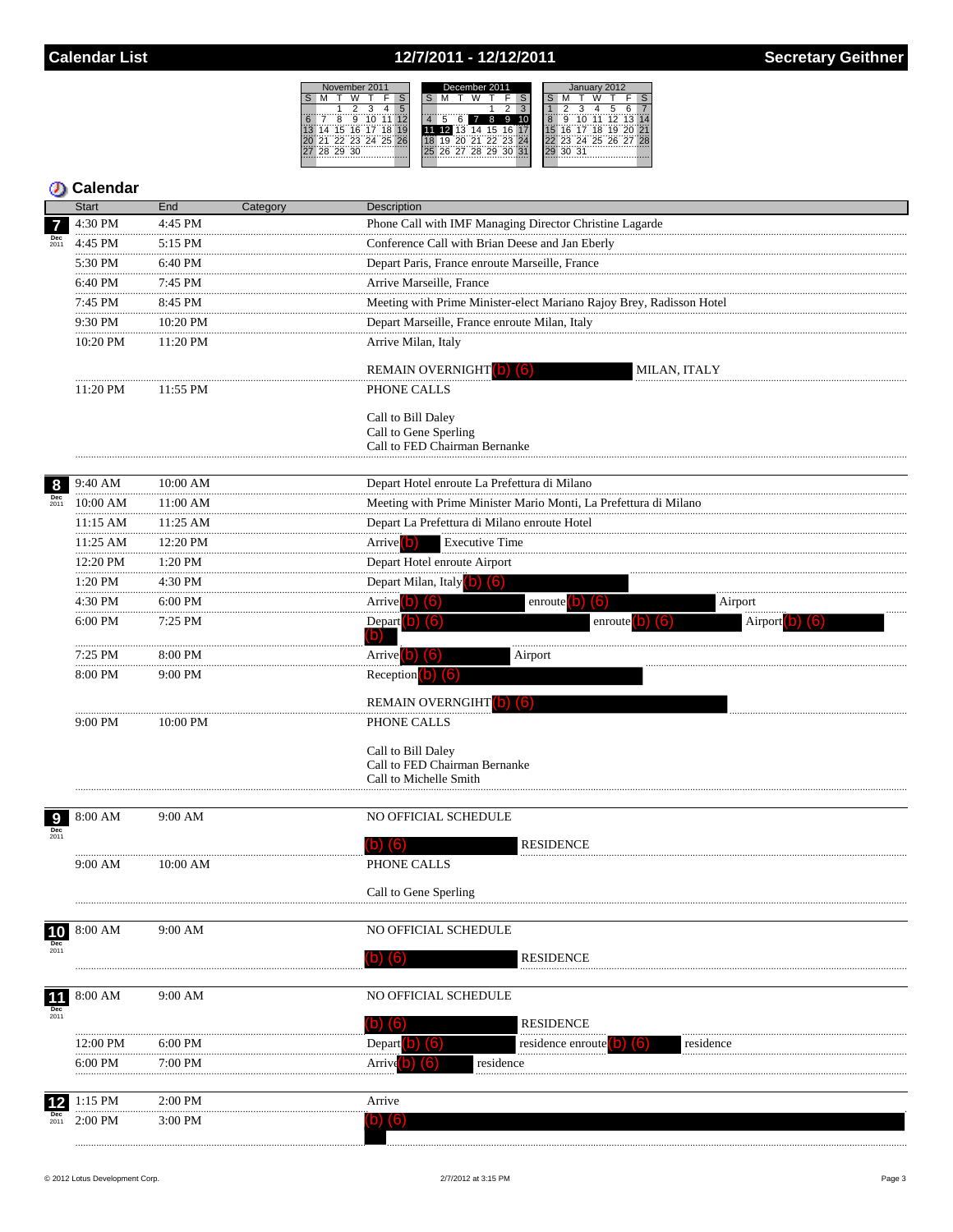# 12/7/2011 - 12/12/2011

Description  $\overline{a}$  ii



| <b>O</b> Calendar  |              |           |          |  |  |  |  |
|--------------------|--------------|-----------|----------|--|--|--|--|
|                    | <b>Start</b> | End       | Category |  |  |  |  |
| 7                  | $4:30$ PM    | $4:45$ PM |          |  |  |  |  |
| <b>Dec</b><br>2011 | $4:45$ PM    | $5:15$ PM |          |  |  |  |  |
|                    | 5:30 PM      | $6:40$ PM |          |  |  |  |  |
|                    | $6.40$ DM    | $7.45$ DM |          |  |  |  |  |

|                                                                    | 4:30 PM       | 4:45 PM       | Phone Call with IMF Managing Director Christine Lagarde              |
|--------------------------------------------------------------------|---------------|---------------|----------------------------------------------------------------------|
|                                                                    | 4:45 PM       | 5:15 PM       | Conference Call with Brian Deese and Jan Eberly                      |
|                                                                    | 5:30 PM       | 6:40 PM       | Depart Paris, France enroute Marseille, France                       |
| <b>Dec</b><br>2011<br>8<br><b>Dec</b><br>2011<br>Dec<br>2011<br>10 | 6:40 PM       | 7:45 PM       | Arrive Marseille, France                                             |
|                                                                    | 7:45 PM       | 8:45 PM       | Meeting with Prime Minister-elect Mariano Rajoy Brey, Radisson Hotel |
|                                                                    | 9:30 PM       | 10:20 PM      | Depart Marseille, France enroute Milan, Italy                        |
|                                                                    | 10:20 PM      | 11:20 PM      | Arrive Milan, Italy                                                  |
|                                                                    |               |               |                                                                      |
|                                                                    | 11:20 PM      | 11:55 PM      | REMAIN OVERNIGHT (b) (6)<br>MILAN, ITALY<br>PHONE CALLS              |
|                                                                    |               |               |                                                                      |
|                                                                    |               |               | Call to Bill Daley                                                   |
|                                                                    |               |               | Call to Gene Sperling<br>Call to FED Chairman Bernanke               |
|                                                                    |               |               |                                                                      |
|                                                                    | 9:40 AM       | $10:00$ AM    | Depart Hotel enroute La Prefettura di Milano                         |
|                                                                    | 10:00 AM      | 11:00 AM      | Meeting with Prime Minister Mario Monti, La Prefettura di Milano     |
|                                                                    | 11:15 AM      | 11:25 AM      | Depart La Prefettura di Milano enroute Hotel                         |
|                                                                    | .<br>11:25 AM | .<br>12:20 PM | Arrive <sup>[0]</sup><br><b>Executive Time</b>                       |
|                                                                    | 12:20 PM      | 1:20 PM       | Depart Hotel enroute Airport                                         |
|                                                                    | .<br>1:20 PM  | 4:30 PM       | Depart Milan, Italy (b) (6)                                          |
|                                                                    | .<br>4:30 PM  | 6:00 PM       | Arrive $(b)$ $(6)$<br>enroute $(b)$ $(6)$<br>Airport                 |
|                                                                    | 6:00 PM       | 7:25 PM       | Depart <b>b</b> 6<br>enroute $(b)$ $(6)$<br>Airport                  |
|                                                                    |               |               | (b)                                                                  |
|                                                                    | 7:25 PM       | 8:00 PM       | Arrive (b) (6)<br>Airport                                            |
|                                                                    | 8:00 PM       | 9:00 PM       | Reception $(b)$ $(6)$                                                |
|                                                                    |               |               | REMAIN OVERNGIHT (b) (6)                                             |
|                                                                    | 9:00 PM       | 10:00 PM      | PHONE CALLS                                                          |
|                                                                    |               |               |                                                                      |
|                                                                    |               |               | Call to Bill Daley<br>Call to FED Chairman Bernanke                  |
|                                                                    |               |               | Call to Michelle Smith                                               |
|                                                                    |               |               |                                                                      |
|                                                                    | 8:00 AM       | 9:00 AM       | NO OFFICIAL SCHEDULE                                                 |
|                                                                    |               |               | <b>RESIDENCE</b><br>$(b)$ $(6)$                                      |
|                                                                    | 9:00 AM       | 10:00 AM      | PHONE CALLS                                                          |
|                                                                    |               |               |                                                                      |
|                                                                    |               |               | Call to Gene Sperling                                                |
|                                                                    |               |               |                                                                      |
|                                                                    | 8:00 AM       | 9:00 AM       | NO OFFICIAL SCHEDULE                                                 |
|                                                                    |               |               | <b>RESIDENCE</b><br>(b) (6)                                          |
|                                                                    |               |               |                                                                      |
| $\frac{11}{\pi}$                                                   | 8:00 AM       | 9:00 AM       | NO OFFICIAL SCHEDULE                                                 |
|                                                                    |               |               | $\mathbf{b})$ (6)<br><b>RESIDENCE</b>                                |
|                                                                    | 12:00 PM      | 6:00 PM       | Depart <sup>[0]</sup><br>(6                                          |
|                                                                    | 6:00 PM       | 7:00 PM       | residence enrou<br>residenc<br>residence                             |
|                                                                    |               |               | Arrıv                                                                |
|                                                                    | 1:15 PM       | 2:00 PM       | Arrive                                                               |
| 2011                                                               | $2:00$ PM     | $3:00$ PM     |                                                                      |
|                                                                    |               |               |                                                                      |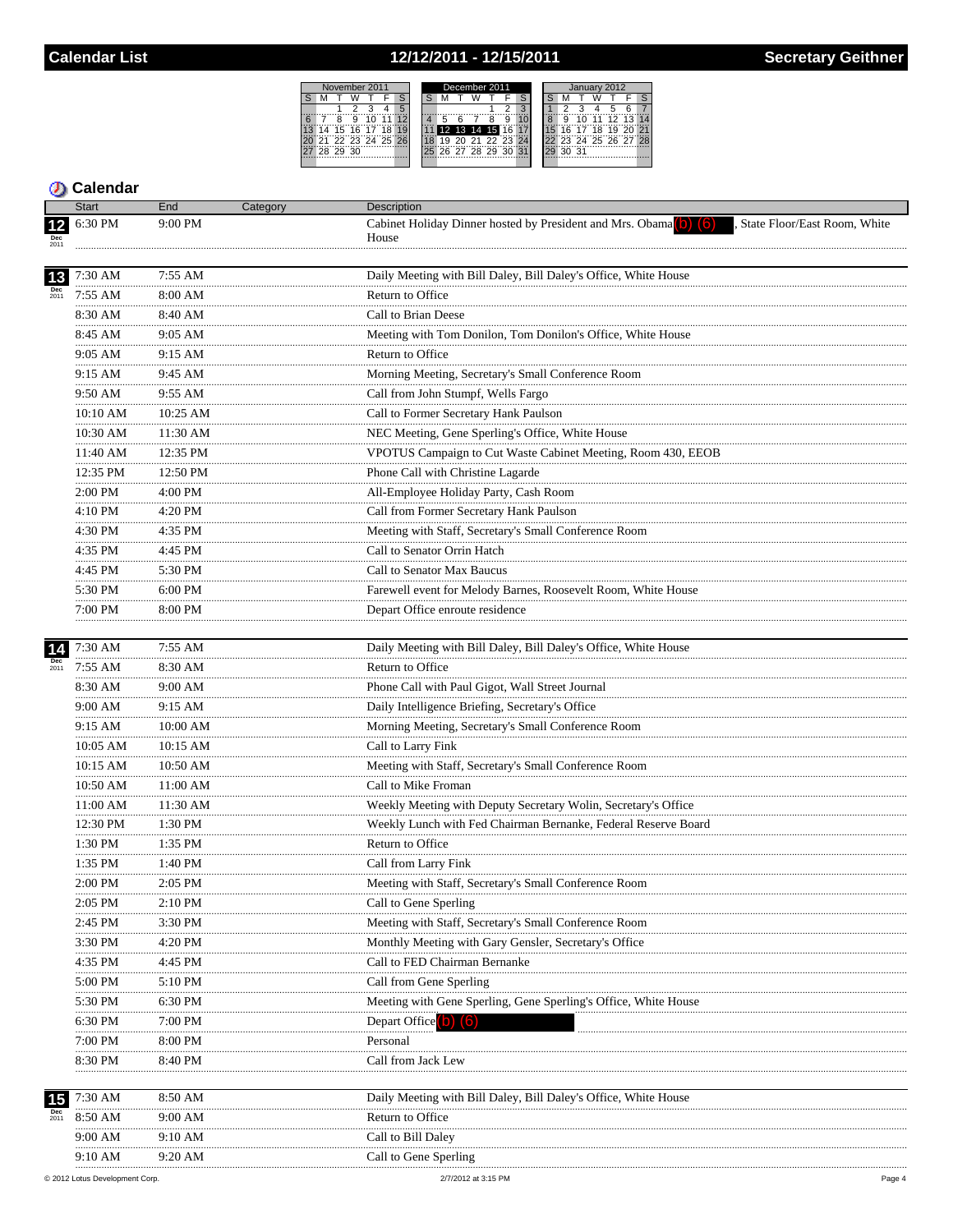# 12/12/2011 - 12/15/2011



#### **D** Calendar

|      | <b>Start</b>      | End               | Category | Description                                                                                                           |
|------|-------------------|-------------------|----------|-----------------------------------------------------------------------------------------------------------------------|
| $12$ | 6:30 PM           | 9:00 PM           |          | Cabinet Holiday Dinner hosted by President and Mrs. Obama <sup>(b)</sup> (6)<br>State Floor/East Room, White<br>House |
| 13   | 7:30 AM           | 7:55 AM           |          | Daily Meeting with Bill Daley, Bill Daley's Office, White House                                                       |
|      | 7:55 AM           | 8:00 AM           |          | Return to Office                                                                                                      |
|      | 8:30 AM           | 8:40 AM           |          | Call to Brian Deese                                                                                                   |
|      | 8:45 AM           | 9:05 AM           |          | Meeting with Tom Donilon, Tom Donilon's Office, White House                                                           |
|      | 9:05 AM           | 9:15 AM           |          | Return to Office                                                                                                      |
|      | <br>9:15 AM       | 9:45 AM           |          | Morning Meeting, Secretary's Small Conference Room                                                                    |
|      | <br>9:50 AM       | 9:55 AM           |          | Call from John Stumpf, Wells Fargo                                                                                    |
|      | 10:10 AM          | 10:25 AM          |          | Call to Former Secretary Hank Paulson                                                                                 |
|      | <br>10:30 AM      | 11:30 AM          |          | NEC Meeting, Gene Sperling's Office, White House                                                                      |
|      | <br>11:40 AM      | 12:35 PM          |          | VPOTUS Campaign to Cut Waste Cabinet Meeting, Room 430, EEOB                                                          |
|      | 12:35 PM          | 12:50 PM          |          | Phone Call with Christine Lagarde                                                                                     |
|      | <br>2:00 PM       | 4:00 PM           |          | All-Employee Holiday Party, Cash Room                                                                                 |
|      | 4:10 PM           | 4:20 PM           |          | Call from Former Secretary Hank Paulson                                                                               |
|      | <br>4:30 PM       | 4:35 PM           |          | Meeting with Staff, Secretary's Small Conference Room                                                                 |
|      | 4:35 PM           | 4:45 PM           |          | Call to Senator Orrin Hatch                                                                                           |
|      | <br>$4:45$ PM     | $5:30$ PM         |          | Call to Senator Max Baucus                                                                                            |
|      | <br>5:30 PM       | 6:00 PM           |          | Farewell event for Melody Barnes, Roosevelt Room, White House                                                         |
|      | 7:00 PM           | 8:00 PM           |          | Depart Office enroute residence                                                                                       |
|      | .                 | .                 |          |                                                                                                                       |
| 14   | 7:30 AM           | 7:55 AM           |          | Daily Meeting with Bill Daley, Bill Daley's Office, White House                                                       |
|      | $7:55 \text{ AM}$ | 8:30 AM           |          | Return to Office                                                                                                      |
|      | 8:30 AM           | 9:00 AM           |          | Phone Call with Paul Gigot, Wall Street Journal                                                                       |
|      | 9:00 AM           | 9:15 AM           |          | Daily Intelligence Briefing, Secretary's Office                                                                       |
|      | 9:15 AM           | 10:00 AM          |          | Morning Meeting, Secretary's Small Conference Room                                                                    |
|      | 10:05 AM          | 10:15 AM          |          | Call to Larry Fink                                                                                                    |
|      | 10:15 AM          | 10:50 AM          |          | Meeting with Staff, Secretary's Small Conference Room                                                                 |
|      | 10:50 AM          | 11:00 AM          |          | Call to Mike Froman                                                                                                   |
|      | <br>11:00 AM      | 11:30 AM          |          | Weekly Meeting with Deputy Secretary Wolin, Secretary's Office                                                        |
|      | 12:30 PM          | 1:30 PM           |          | Weekly Lunch with Fed Chairman Bernanke, Federal Reserve Board                                                        |
|      | <br>$1:30$ PM     | .<br>$1:35$ PM    |          | Return to Office                                                                                                      |
|      | 1:35 PM           | 1:40 PM           |          | Call from Larry Fink                                                                                                  |
|      | 2:00 PM           | 2:05 PM           |          | Meeting with Staff, Secretary's Small Conference Room                                                                 |
|      | 2:05 PM           | 2:10 PM           |          | Call to Gene Sperling                                                                                                 |
|      | 2:45 PM           | 3:30 PM           |          | Meeting with Staff, Secretary's Small Conference Room                                                                 |
|      | 3:30 PM           | 4:20 PM           |          | Monthly Meeting with Gary Gensler, Secretary's Office                                                                 |
|      | 4:35 PM           | 4:45 PM           |          | Call to FED Chairman Bernanke                                                                                         |
|      | 5:00 PM           | $5:10 \text{ PM}$ |          | Call from Gene Sperling                                                                                               |
|      | 5:30 PM           | 6:30 PM           |          | Meeting with Gene Sperling, Gene Sperling's Office, White House                                                       |
|      | 6:30 PM           | 7:00 PM           |          | Depart Office                                                                                                         |
|      | 7:00 PM           | 8:00 PM           |          | Personal                                                                                                              |
|      | 8:30 PM           | 8:40 PM           |          | Call from Jack Lew                                                                                                    |
|      |                   |                   |          |                                                                                                                       |
| 15   | 7:30 AM           | 8:50 AM           |          | Daily Meeting with Bill Daley, Bill Daley's Office, White House                                                       |
| 2011 | 8:50 AM           | 9:00 AM           |          | Return to Office                                                                                                      |
|      | 9:00 AM<br>       | 9:10 AM           |          | Call to Bill Daley                                                                                                    |
|      | 9:10 AM           | 9:20 AM           |          | Call to Gene Sperling                                                                                                 |
|      |                   |                   |          |                                                                                                                       |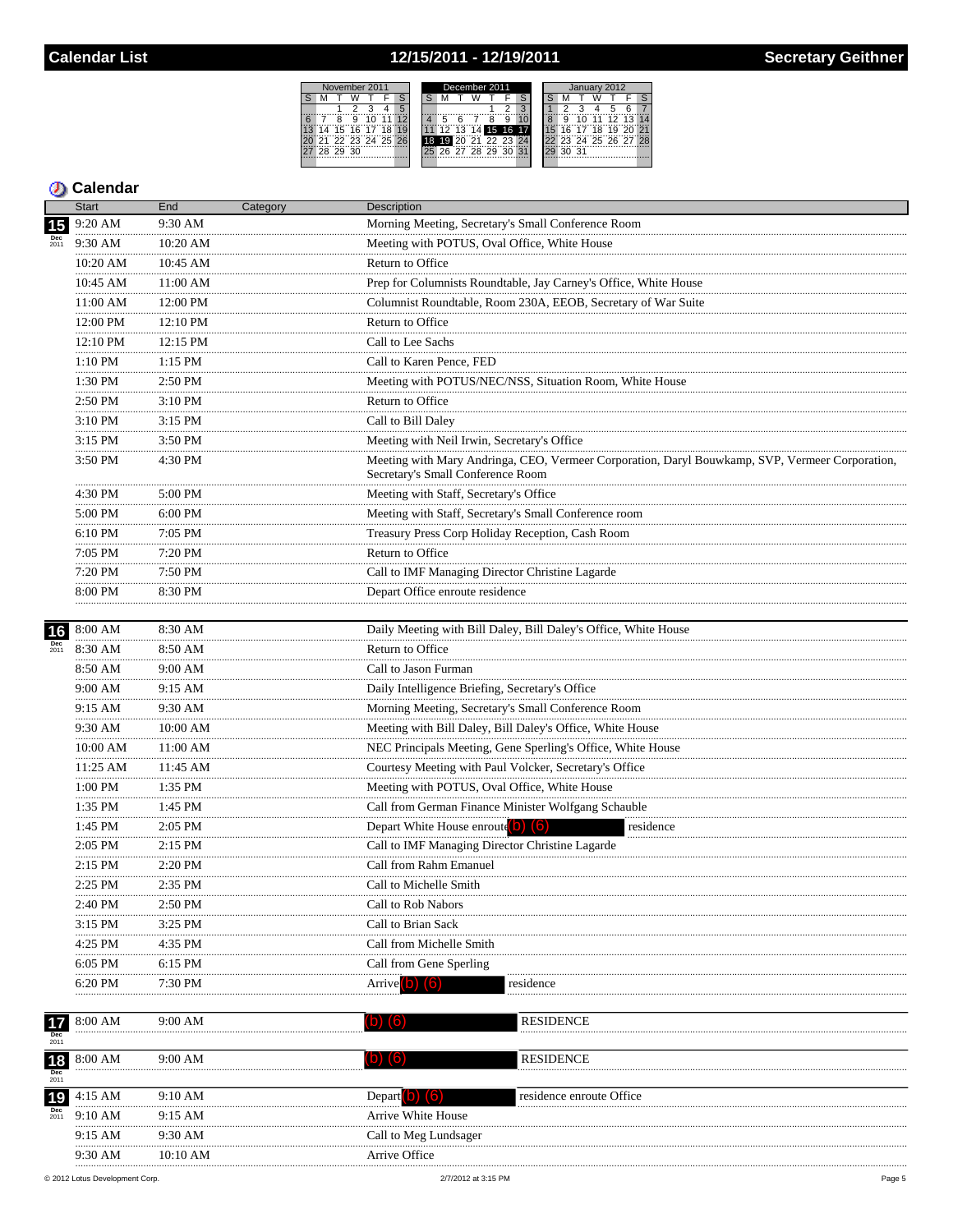## 12/15/2011 - 12/19/2011



### **D** Calendar

|                               | <b>Start</b>     | End           | Category | <b>Description</b>                                                                                                                   |  |  |  |
|-------------------------------|------------------|---------------|----------|--------------------------------------------------------------------------------------------------------------------------------------|--|--|--|
| 15                            | 9:20 AM          | 9:30 AM       |          | Morning Meeting, Secretary's Small Conference Room                                                                                   |  |  |  |
| Dec<br>2011                   | 9:30 AM          | 10:20 AM      |          | Meeting with POTUS, Oval Office, White House                                                                                         |  |  |  |
|                               | 10:20 AM         | 10:45 AM      |          | Return to Office                                                                                                                     |  |  |  |
|                               | 10:45 AM         | 11:00 AM      |          | Prep for Columnists Roundtable, Jay Carney's Office, White House                                                                     |  |  |  |
|                               | 11:00 AM         | 12:00 PM      |          | Columnist Roundtable, Room 230A, EEOB, Secretary of War Suite                                                                        |  |  |  |
|                               | 12:00 PM         | 12:10 PM      |          | Return to Office                                                                                                                     |  |  |  |
|                               | 12:10 PM         | 12:15 PM      |          | Call to Lee Sachs                                                                                                                    |  |  |  |
|                               | <br>1:10 PM      | <br>1:15 PM   |          | Call to Karen Pence, FED                                                                                                             |  |  |  |
|                               | 1:30 PM          | 2:50 PM       |          | Meeting with POTUS/NEC/NSS, Situation Room, White House                                                                              |  |  |  |
|                               | .<br>2:50 PM     | $3:10$ PM     |          | Return to Office                                                                                                                     |  |  |  |
|                               | .<br>3:10 PM     | $3:15$ PM     |          | Call to Bill Daley                                                                                                                   |  |  |  |
|                               | .<br>3:15 PM     | 3:50 PM       |          | Meeting with Neil Irwin, Secretary's Office                                                                                          |  |  |  |
|                               | 3:50 PM          | 4:30 PM       |          | Meeting with Mary Andringa, CEO, Vermeer Corporation, Daryl Bouwkamp, SVP, Vermeer Corporation,<br>Secretary's Small Conference Room |  |  |  |
|                               | 4:30 PM          | 5:00 PM       |          | Meeting with Staff, Secretary's Office<br>Meeting with Staff, Secretary's Small Conference room                                      |  |  |  |
|                               | 5:00 PM          | $6:00$ PM     |          |                                                                                                                                      |  |  |  |
|                               | <br>6:10 PM      | 7:05 PM       |          | Treasury Press Corp Holiday Reception, Cash Room                                                                                     |  |  |  |
|                               | .<br>7:05 PM     | $7:20$ PM     |          | Return to Office                                                                                                                     |  |  |  |
|                               | .<br>7:20 PM     | 7:50 PM       |          | Call to IMF Managing Director Christine Lagarde                                                                                      |  |  |  |
|                               | 8:00 PM          | 8:30 PM       |          | Depart Office enroute residence                                                                                                      |  |  |  |
| 16                            | 8:00 AM          | 8:30 AM       |          | Daily Meeting with Bill Daley, Bill Daley's Office, White House                                                                      |  |  |  |
| Dec<br>2011                   | 8:30 AM          | 8:50 AM       |          | Return to Office                                                                                                                     |  |  |  |
|                               | 8:50 AM          | 9:00 AM       |          | Call to Jason Furman                                                                                                                 |  |  |  |
|                               | <br>9:00 AM      | .<br>9:15 AM  |          | Daily Intelligence Briefing, Secretary's Office                                                                                      |  |  |  |
|                               | <br>9:15 AM<br>. | $9:30$ AM     |          | Morning Meeting, Secretary's Small Conference Room                                                                                   |  |  |  |
|                               | 9:30 AM          | 10:00 AM      |          | Meeting with Bill Daley, Bill Daley's Office, White House                                                                            |  |  |  |
|                               | 10:00 AM         | 11:00 AM      |          | NEC Principals Meeting, Gene Sperling's Office, White House                                                                          |  |  |  |
|                               | 11:25 AM<br>.    | 11:45 AM<br>. |          | Courtesy Meeting with Paul Volcker, Secretary's Office                                                                               |  |  |  |
|                               | 1:00 PM<br>.     | 1:35 PM       |          | Meeting with POTUS, Oval Office, White House                                                                                         |  |  |  |
|                               | 1:35 PM<br>.     | 1:45 PM       |          | Call from German Finance Minister Wolfgang Schauble                                                                                  |  |  |  |
|                               | 1:45 PM          | 2:05 PM       |          | Depart White House enroute $(b)$ $(6)$<br>residence                                                                                  |  |  |  |
|                               | .<br>2:05 PM     | $2:15$ PM     |          | Call to IMF Managing Director Christine Lagarde                                                                                      |  |  |  |
|                               | 2:15 PM          | 2:20 PM       |          | Call from Rahm Emanuel                                                                                                               |  |  |  |
|                               | 2:25 PM          | 2:35 PM       |          | Call to Michelle Smith                                                                                                               |  |  |  |
|                               | 2:40 PM          | 2:50 PM       |          | Call to Rob Nabors                                                                                                                   |  |  |  |
|                               | 3:15 PM          | 3:25 PM       |          | Call to Brian Sack                                                                                                                   |  |  |  |
|                               | 4:25 PM          | 4:35 PM       |          | Call from Michelle Smith                                                                                                             |  |  |  |
|                               | 6:05 PM          | 6:15 PM       |          | Call from Gene Sperling                                                                                                              |  |  |  |
|                               | 6:20 PM          | 7:30 PM       |          | Arrive <sup>1</sup><br>(6)<br>residence                                                                                              |  |  |  |
|                               | 8:00 AM          | 9:00 AM       |          | <b>RESIDENCE</b><br>(D)<br>$\lceil 6 \rceil$                                                                                         |  |  |  |
| $\frac{1}{2011}$              |                  |               |          |                                                                                                                                      |  |  |  |
| $\frac{18}{\frac{Dec}{2011}}$ | 8:00 AM          | $9:00$ AM     |          | <b>RESIDENCE</b><br>(b)<br>$\mathsf{I}^{\mathsf{b}}$                                                                                 |  |  |  |
|                               | 4:15 AM          | 9:10 AM       |          | residence enroute Office                                                                                                             |  |  |  |
| 19<br><b>Dec</b><br>2011      | 9:10 AM          | 9:15 AM       |          | Depart <b>D</b><br>Arrive White House                                                                                                |  |  |  |
|                               | 9:15 AM          | 9:30 AM       |          | Call to Meg Lundsager                                                                                                                |  |  |  |
|                               | 9:30 AM          | 10:10 AM      |          | Arrive Office                                                                                                                        |  |  |  |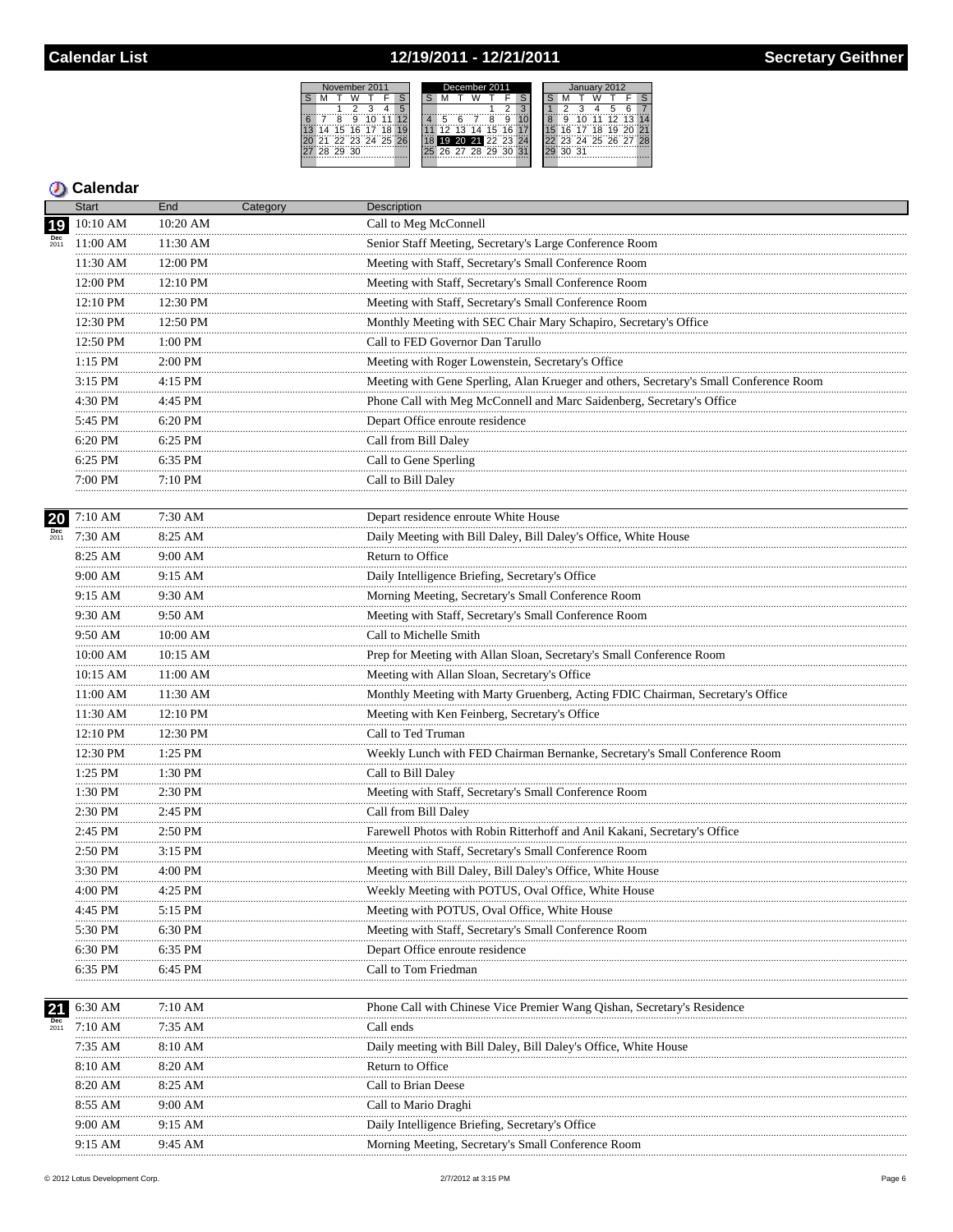## 12/19/2011 - 12/21/2011



#### **D** Calendar

|                  | <b>Start</b>  | End                                                | Category | <b>Description</b>                                                                     |
|------------------|---------------|----------------------------------------------------|----------|----------------------------------------------------------------------------------------|
| 19               | 10:10 AM      | 10:20 AM                                           |          | Call to Meg McConnell                                                                  |
|                  | 11:00 AM      | 11:30 AM                                           |          | Senior Staff Meeting, Secretary's Large Conference Room                                |
|                  | 11:30 AM      | 12:00 PM                                           |          | Meeting with Staff, Secretary's Small Conference Room                                  |
| 20<br>2011<br>21 | 12:00 PM      | 12:10 PM                                           |          | Meeting with Staff, Secretary's Small Conference Room                                  |
|                  | 12:10 PM      | 12:30 PM                                           |          | Meeting with Staff, Secretary's Small Conference Room                                  |
|                  | 12:30 PM<br>. | 12:50 PM                                           |          | Monthly Meeting with SEC Chair Mary Schapiro, Secretary's Office                       |
|                  | 12:50 PM      | $\begin{array}{c}\n  \text{1:00 PM}\n \end{array}$ |          | Call to FED Governor Dan Tarullo                                                       |
|                  | .<br>1:15 PM  | .<br>2:00 PM                                       |          | Meeting with Roger Lowenstein, Secretary's Office                                      |
|                  | .<br>3:15 PM  | 4:15 PM                                            |          | Meeting with Gene Sperling, Alan Krueger and others, Secretary's Small Conference Room |
|                  | .<br>4:30 PM  | .<br>4:45 PM                                       |          | Phone Call with Meg McConnell and Marc Saidenberg, Secretary's Office                  |
|                  | 5:45 PM       | 6:20 PM                                            |          | Depart Office enroute residence                                                        |
|                  | .<br>6:20 PM  | 6:25 PM                                            |          | Call from Bill Daley                                                                   |
|                  | 6:25 PM       | 6:35 PM                                            |          | Call to Gene Sperling                                                                  |
|                  | 7:00 PM       | 7:10 PM                                            |          | Call to Bill Daley                                                                     |
|                  |               |                                                    |          |                                                                                        |
|                  | 7:10 AM       | 7:30 AM                                            |          | Depart residence enroute White House                                                   |
|                  | 7:30 AM       | 8:25 AM                                            |          | Daily Meeting with Bill Daley, Bill Daley's Office, White House                        |
|                  | 8:25 AM<br>.  | 9:00 AM<br>.                                       |          | Return to Office                                                                       |
|                  | 9:00 AM<br>.  | 9:15 AM                                            |          | Daily Intelligence Briefing, Secretary's Office                                        |
|                  | 9:15 AM       | 9:30 AM                                            |          | Morning Meeting, Secretary's Small Conference Room                                     |
|                  | 9:30 AM       | 9:50 AM                                            |          | Meeting with Staff, Secretary's Small Conference Room                                  |
|                  | 9:50 AM       | 10:00 AM                                           |          | Call to Michelle Smith                                                                 |
|                  | 10:00 AM      | 10:15 AM                                           |          | Prep for Meeting with Allan Sloan, Secretary's Small Conference Room                   |
|                  | 10:15 AM      | 11:00 AM                                           |          | Meeting with Allan Sloan, Secretary's Office                                           |
|                  | 11:00 AM      | 11:30 AM                                           |          | Monthly Meeting with Marty Gruenberg, Acting FDIC Chairman, Secretary's Office         |
|                  | 11:30 AM<br>. | 12:10 PM                                           |          | Meeting with Ken Feinberg, Secretary's Office                                          |
|                  | 12:10 PM      | 12:30 PM                                           |          | Call to Ted Truman                                                                     |
|                  | 12:30 PM      | $\frac{1:25 \text{ PM}}{1:25 \text{ PM}}$          |          | Weekly Lunch with FED Chairman Bernanke, Secretary's Small Conference Room             |
|                  | 1:25 PM       | 1:30 PM                                            |          | Call to Bill Daley                                                                     |
|                  | 1:30 PM<br>.  | $2:30$ PM                                          |          | Meeting with Staff, Secretary's Small Conference Room                                  |
|                  | 2:30 PM       | 2:45 PM                                            |          | Call from Bill Daley                                                                   |
|                  | 2:45 PM<br>.  | 2:50 PM<br>.                                       |          | Farewell Photos with Robin Ritterhoff and Anil Kakani, Secretary's Office              |
|                  | 2:50 PM       | 3:15 PM                                            |          | Meeting with Staff, Secretary's Small Conference Room                                  |
|                  | 3:30 PM       | 4:00 PM                                            |          | Meeting with Bill Daley, Bill Daley's Office, White House                              |
|                  | 4:00 PM<br>   | 4:25 PM                                            |          | Weekly Meeting with POTUS, Oval Office, White House                                    |
|                  | 4:45 PM       | 5:15 PM                                            |          | Meeting with POTUS, Oval Office, White House                                           |
|                  | 5:30 PM       | 6:30 PM                                            |          | Meeting with Staff, Secretary's Small Conference Room                                  |
|                  | 6:30 PM       | 6:35 PM                                            |          | Depart Office enroute residence                                                        |
|                  | 6:35 PM       | 6:45 PM                                            |          | Call to Tom Friedman                                                                   |
|                  |               |                                                    |          |                                                                                        |
|                  | 6:30 AM       | 7:10 AM                                            |          | Phone Call with Chinese Vice Premier Wang Qishan, Secretary's Residence                |
|                  | 7:10 AM       | 7:35 AM                                            |          | Call ends                                                                              |
|                  | 7:35 AM       | 8:10 AM                                            |          | Daily meeting with Bill Daley, Bill Daley's Office, White House                        |
|                  | 8:10 AM       | 8:20 AM                                            |          | Return to Office                                                                       |
|                  | 8:20 AM       | 8:25 AM                                            |          | Call to Brian Deese                                                                    |
|                  | 8:55 AM       | 9:00 AM                                            |          | Call to Mario Draghi                                                                   |
|                  | 9:00 AM       | 9:15 AM                                            |          | Daily Intelligence Briefing, Secretary's Office                                        |
|                  | 9:15 AM       | 9:45 AM                                            |          | Morning Meeting, Secretary's Small Conference Room                                     |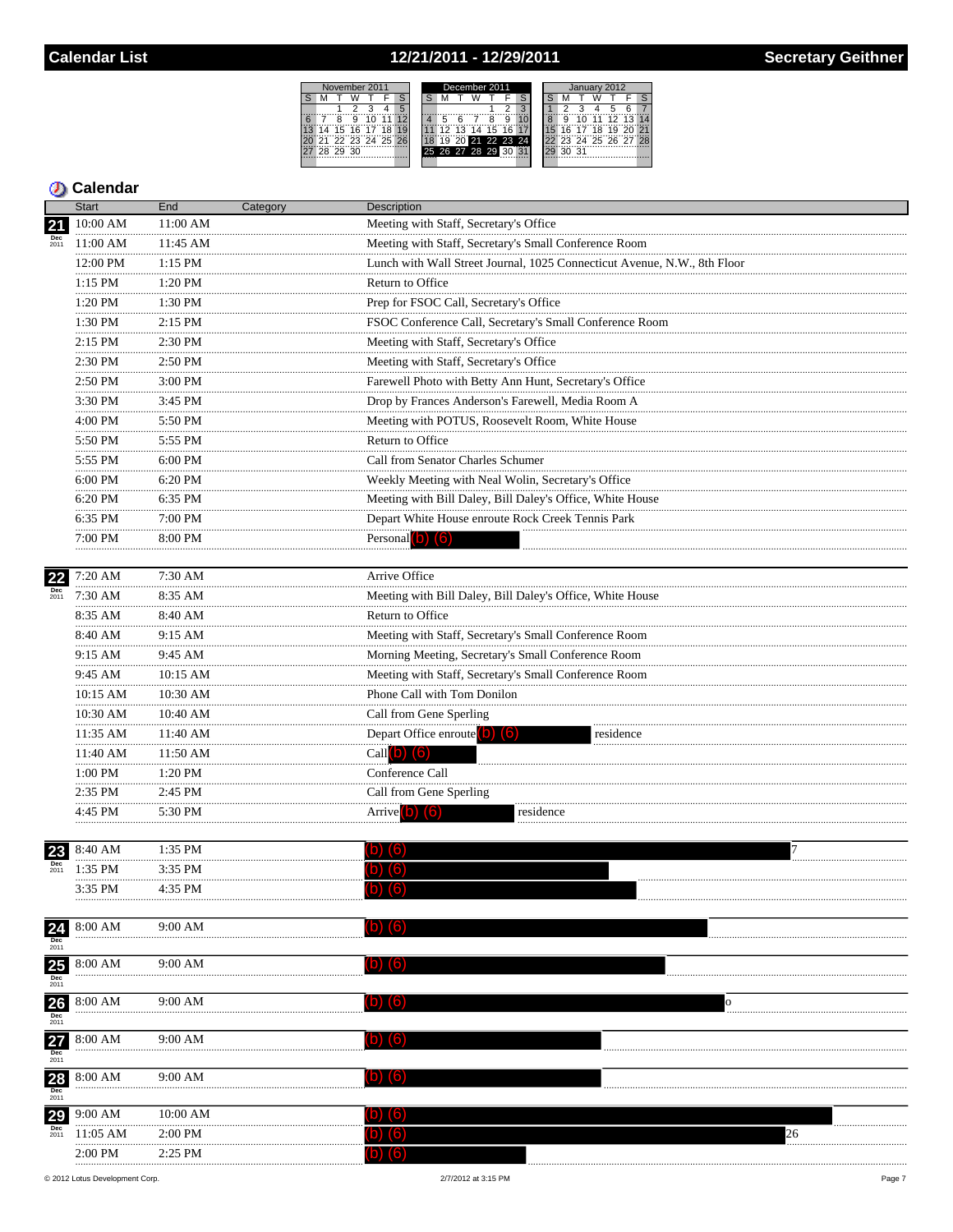## 12/21/2011 - 12/29/2011



### **D** Calendar

|                                  | <b>Start</b>      | End           | Category | <b>Description</b>                                                                                                                                                                                                                                                                                                                                                                                                                                                                    |  |
|----------------------------------|-------------------|---------------|----------|---------------------------------------------------------------------------------------------------------------------------------------------------------------------------------------------------------------------------------------------------------------------------------------------------------------------------------------------------------------------------------------------------------------------------------------------------------------------------------------|--|
| 21                               | 10:00 AM          | 11:00 AM      |          | Meeting with Staff, Secretary's Office                                                                                                                                                                                                                                                                                                                                                                                                                                                |  |
| $\frac{Dec}{2011}$               | 11:00 AM          | 11:45 AM      |          | Meeting with Staff, Secretary's Small Conference Room                                                                                                                                                                                                                                                                                                                                                                                                                                 |  |
| <b>Dec</b><br>2011<br>23<br>2011 | 12:00 PM          | 1:15 PM       |          | Lunch with Wall Street Journal, 1025 Connecticut Avenue, N.W., 8th Floor                                                                                                                                                                                                                                                                                                                                                                                                              |  |
|                                  | 1:15 PM           | 1:20 PM       |          | Return to Office                                                                                                                                                                                                                                                                                                                                                                                                                                                                      |  |
|                                  | .<br>1:20 PM      | 1:30 PM       |          | Prep for FSOC Call, Secretary's Office                                                                                                                                                                                                                                                                                                                                                                                                                                                |  |
|                                  | .<br>1:30 PM      | 2:15 PM       |          | FSOC Conference Call, Secretary's Small Conference Room                                                                                                                                                                                                                                                                                                                                                                                                                               |  |
|                                  | .<br>$2:15$ PM    | .<br>2:30 PM  |          | Meeting with Staff, Secretary's Office                                                                                                                                                                                                                                                                                                                                                                                                                                                |  |
|                                  | .<br>2:30 PM      | .<br>2:50 PM  |          | Meeting with Staff, Secretary's Office                                                                                                                                                                                                                                                                                                                                                                                                                                                |  |
|                                  | .<br>2:50 PM      | 3:00 PM       |          | Farewell Photo with Betty Ann Hunt, Secretary's Office                                                                                                                                                                                                                                                                                                                                                                                                                                |  |
|                                  | .<br>3:30 PM      | .<br>3:45 PM  |          | Drop by Frances Anderson's Farewell, Media Room A                                                                                                                                                                                                                                                                                                                                                                                                                                     |  |
|                                  | 4:00 PM           | 5:50 PM       |          |                                                                                                                                                                                                                                                                                                                                                                                                                                                                                       |  |
|                                  | .<br>5:50 PM      | .<br>5:55 PM  |          | Return to Office                                                                                                                                                                                                                                                                                                                                                                                                                                                                      |  |
|                                  | 5:55 PM<br>.      | 6:00 PM       |          | Call from Senator Charles Schumer                                                                                                                                                                                                                                                                                                                                                                                                                                                     |  |
|                                  | 6:00 PM<br>.      | 6:20 PM       |          | Weekly Meeting with Neal Wolin, Secretary's Office                                                                                                                                                                                                                                                                                                                                                                                                                                    |  |
|                                  | 6:20 PM<br>.      | 6:35 PM       |          | Meeting with Bill Daley, Bill Daley's Office, White House                                                                                                                                                                                                                                                                                                                                                                                                                             |  |
|                                  | 6:35 PM<br>.      | 7:00 PM<br>.  |          |                                                                                                                                                                                                                                                                                                                                                                                                                                                                                       |  |
|                                  | 7:00 PM           | 8:00 PM       |          | Personal $(b)$ $(6)$                                                                                                                                                                                                                                                                                                                                                                                                                                                                  |  |
|                                  |                   |               |          |                                                                                                                                                                                                                                                                                                                                                                                                                                                                                       |  |
| 22                               | 7:20 AM           | 7:30 AM       |          | Arrive Office                                                                                                                                                                                                                                                                                                                                                                                                                                                                         |  |
|                                  | $7:30$ AM<br>.    | 8:35 AM       |          | Meeting with Bill Daley, Bill Daley's Office, White House                                                                                                                                                                                                                                                                                                                                                                                                                             |  |
|                                  | 8:35 AM           | 8:40 AM       |          | Return to Office                                                                                                                                                                                                                                                                                                                                                                                                                                                                      |  |
|                                  | 8:40 AM<br>.      | 9:15 AM<br>.  |          | Meeting with Staff, Secretary's Small Conference Room                                                                                                                                                                                                                                                                                                                                                                                                                                 |  |
|                                  | 9:15 AM           | 9:45 AM       |          |                                                                                                                                                                                                                                                                                                                                                                                                                                                                                       |  |
|                                  | 9:45 AM           | 10:15 AM      |          |                                                                                                                                                                                                                                                                                                                                                                                                                                                                                       |  |
|                                  | 10:15 AM          | 10:30 AM<br>  |          |                                                                                                                                                                                                                                                                                                                                                                                                                                                                                       |  |
|                                  | 10:30 AM<br>.     | 10:40 AM      |          |                                                                                                                                                                                                                                                                                                                                                                                                                                                                                       |  |
|                                  | $11:35$ AM        | 11:40 AM<br>. |          | residence                                                                                                                                                                                                                                                                                                                                                                                                                                                                             |  |
|                                  | 11:40 AM<br>.     | 11:50 AM<br>. |          |                                                                                                                                                                                                                                                                                                                                                                                                                                                                                       |  |
|                                  | 1:00 PM<br>.      | 1:20 PM<br>.  |          |                                                                                                                                                                                                                                                                                                                                                                                                                                                                                       |  |
|                                  | 2:35 PM<br>.      | 2:45 PM       |          |                                                                                                                                                                                                                                                                                                                                                                                                                                                                                       |  |
|                                  | 4:45 PM           | 5:30 PM       |          |                                                                                                                                                                                                                                                                                                                                                                                                                                                                                       |  |
|                                  |                   |               |          |                                                                                                                                                                                                                                                                                                                                                                                                                                                                                       |  |
|                                  | 8:40 AM           | 1:35 PM       |          |                                                                                                                                                                                                                                                                                                                                                                                                                                                                                       |  |
|                                  | 1:35 PM           | 3:35 PM       |          |                                                                                                                                                                                                                                                                                                                                                                                                                                                                                       |  |
|                                  | 3:35 PM           | 4:35 PM       |          |                                                                                                                                                                                                                                                                                                                                                                                                                                                                                       |  |
| 24                               | $8:00 \text{ AM}$ | 9:00 AM       |          |                                                                                                                                                                                                                                                                                                                                                                                                                                                                                       |  |
| <b>Dec</b><br>2011               |                   |               |          |                                                                                                                                                                                                                                                                                                                                                                                                                                                                                       |  |
|                                  | 8:00 AM           | 9:00 AM       |          |                                                                                                                                                                                                                                                                                                                                                                                                                                                                                       |  |
| $\frac{\text{25}}{\text{Dec}}$   |                   |               |          |                                                                                                                                                                                                                                                                                                                                                                                                                                                                                       |  |
|                                  | 8:00 AM           | 9:00 AM       |          | Meeting with POTUS, Roosevelt Room, White House<br>Depart White House enroute Rock Creek Tennis Park<br>Morning Meeting, Secretary's Small Conference Room<br>Meeting with Staff, Secretary's Small Conference Room<br>Phone Call with Tom Donilon<br>Call from Gene Sperling<br>Depart Office enroute (b) (6)<br>Call $(b)$ $(6)$<br>Conference Call<br>Call from Gene Sperling<br>Arrive <sup>(b)</sup> (6)<br>residence<br>(6<br>(b) (6)<br>(b) (6)<br>(D) (O)<br>(O)<br>(O)<br>26 |  |
| $\frac{\text{26}}{\text{Dec}}$   |                   |               |          |                                                                                                                                                                                                                                                                                                                                                                                                                                                                                       |  |
| $\frac{27}{201}$                 | 8:00 AM           | 9:00 AM       |          |                                                                                                                                                                                                                                                                                                                                                                                                                                                                                       |  |
|                                  |                   |               |          |                                                                                                                                                                                                                                                                                                                                                                                                                                                                                       |  |
| $\frac{28}{\frac{Dec}{2011}}$    | 8:00 AM           | 9:00 AM       |          |                                                                                                                                                                                                                                                                                                                                                                                                                                                                                       |  |
|                                  |                   |               |          |                                                                                                                                                                                                                                                                                                                                                                                                                                                                                       |  |
| 29                               | 9:00 AM           | 10:00 AM      |          |                                                                                                                                                                                                                                                                                                                                                                                                                                                                                       |  |
| <b>Dec</b><br>2011               | $11:05$ AM        | $2:00$ PM     |          |                                                                                                                                                                                                                                                                                                                                                                                                                                                                                       |  |
|                                  | 2:00 PM           | 2:25 PM       |          |                                                                                                                                                                                                                                                                                                                                                                                                                                                                                       |  |

© 2012 Lotus Development Corp.